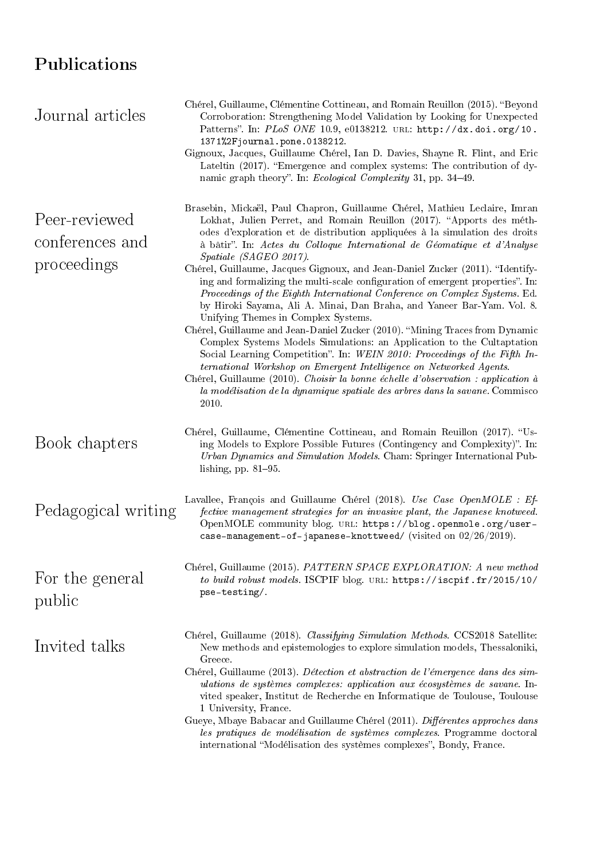## Publications

| Chérel, Guillaume, Clémentine Cottineau, and Romain Reuillon (2015). "Beyond<br>Corroboration: Strengthening Model Validation by Looking for Unexpected<br>Patterns". In: PLoS ONE 10.9, e0138212. URL: http://dx.doi.org/10.<br>1371%2Fjournal.pone.0138212.                                                                                                                                                                                                                                                                                                                                                                                                                                                                                                   |
|-----------------------------------------------------------------------------------------------------------------------------------------------------------------------------------------------------------------------------------------------------------------------------------------------------------------------------------------------------------------------------------------------------------------------------------------------------------------------------------------------------------------------------------------------------------------------------------------------------------------------------------------------------------------------------------------------------------------------------------------------------------------|
| Gignoux, Jacques, Guillaume Chérel, Ian D. Davies, Shayne R. Flint, and Eric<br>Lateltin (2017). "Emergence and complex systems: The contribution of dy-<br>namic graph theory". In: <i>Ecological Complexity</i> 31, pp. 34–49.                                                                                                                                                                                                                                                                                                                                                                                                                                                                                                                                |
| Brasebin, Mickaël, Paul Chapron, Guillaume Chérel, Mathieu Leclaire, Imran<br>Lokhat, Julien Perret, and Romain Reuillon (2017). "Apports des méth-<br>odes d'exploration et de distribution appliquées à la simulation des droits<br>à bâtir". In: Actes du Colloque International de Géomatique et d'Analyse<br>Spatiale (SAGEO 2017).                                                                                                                                                                                                                                                                                                                                                                                                                        |
| Chérel, Guillaume, Jacques Gignoux, and Jean-Daniel Zucker (2011). "Identify-<br>ing and formalizing the multi-scale configuration of emergent properties". In:<br>Proceedings of the Eighth International Conference on Complex Systems. Ed.<br>by Hiroki Sayama, Ali A. Minai, Dan Braha, and Yaneer Bar-Yam. Vol. 8.<br>Unifying Themes in Complex Systems.<br>Chérel, Guillaume and Jean-Daniel Zucker (2010). "Mining Traces from Dynamic<br>Complex Systems Models Simulations: an Application to the Cultaptation<br>Social Learning Competition". In: WEIN 2010: Proceedings of the Fifth In-<br>ternational Workshop on Emergent Intelligence on Networked Agents.<br>Chérel, Guillaume (2010). Choisir la bonne échelle d'observation : application à |
| la modélisation de la dynamique spatiale des arbres dans la savane. Commisco<br>2010.                                                                                                                                                                                                                                                                                                                                                                                                                                                                                                                                                                                                                                                                           |
| Chérel, Guillaume, Clémentine Cottineau, and Romain Reuillon (2017). "Us-<br>ing Models to Explore Possible Futures (Contingency and Complexity)". In:<br>Urban Dynamics and Simulation Models. Cham: Springer International Pub-<br>lishing, pp. $81-95$ .                                                                                                                                                                                                                                                                                                                                                                                                                                                                                                     |
| Lavallee, François and Guillaume Chérel (2018). Use Case OpenMOLE : Ef-<br>Pedagogical writing<br>fective management strategies for an invasive plant, the Japanese knotweed.<br>OpenMOLE community blog. URL: https://blog.openmole.org/user-<br>case-management-of-japanese-knottweed/ (visited on $02/26/2019$ ).                                                                                                                                                                                                                                                                                                                                                                                                                                            |
| Chérel, Guillaume (2015). PATTERN SPACE EXPLORATION: A new method<br>to build robust models. ISCPIF blog. URL: https://iscpif.fr/2015/10/<br>pse-testing/                                                                                                                                                                                                                                                                                                                                                                                                                                                                                                                                                                                                       |
| Chérel, Guillaume (2018). Classifying Simulation Methods. CCS2018 Satellite:<br>New methods and epistemologies to explore simulation models, Thessaloniki,<br>Greece.<br>Chérel, Guillaume (2013). Détection et abstraction de l'émergence dans des sim-<br>ulations de systèmes complexes: application aux écosystèmes de savane. In-<br>vited speaker, Institut de Recherche en Informatique de Toulouse, Toulouse<br>1 University, France.<br>Gueye, Mbaye Babacar and Guillaume Chérel (2011). Différentes approches dans<br>les pratiques de modélisation de systèmes complexes. Programme doctoral                                                                                                                                                        |
|                                                                                                                                                                                                                                                                                                                                                                                                                                                                                                                                                                                                                                                                                                                                                                 |